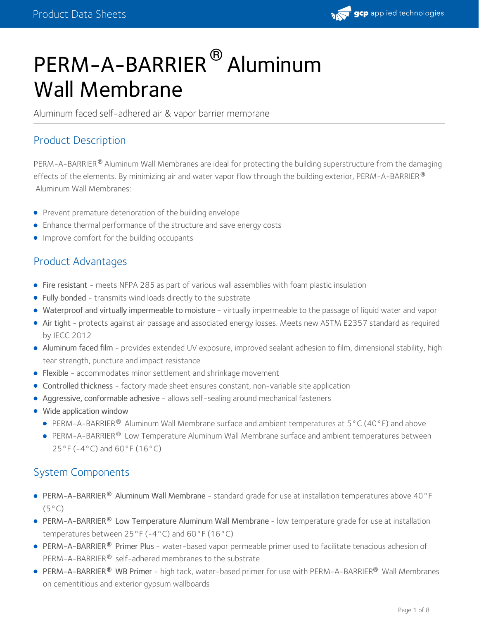

# PERM-A-BARRIER® Aluminum Wall Membrane

Aluminum faced self-adhered air & vapor barrier membrane

# Product Description

PERM-A-BARRIER $^\circledR$  Aluminum Wall Membranes are ideal for protecting the building superstructure from the damaging effects of the elements. By minimizing air and water vapor flow through the building exterior, <code>PERM-A-BARRIER</code>  $^\circ$ Aluminum Wall Membranes:

- **•** Prevent premature deterioration of the building envelope
- Enhance thermal performance of the structure and save energy costs
- **Improve comfort for the building occupants**

# Product Advantages

- Fire resistant meets NFPA 285 as part of various wall assemblies with foam plastic insulation
- Fully bonded transmits wind loads directly to the substrate
- Waterproof and virtually impermeable to moisture virtually impermeable to the passage of liquid water and vapor
- Air tight protects against air passage and associated energy losses. Meets new ASTM E2357 standard as required by IECC 2012
- Aluminum faced film provides extended UV exposure, improved sealant adhesion to film, dimensional stability, high tear strength, puncture and impact resistance
- Flexible accommodates minor settlement and shrinkage movement
- Controlled thickness factory made sheet ensures constant, non-variable site application
- Aggressive, conformable adhesive allows self-sealing around mechanical fasteners
- Wide application window
	- PERM-A-BARRIER<sup>®</sup> Aluminum Wall Membrane surface and ambient temperatures at  $5^{\circ}$ C (40°F) and above
	- PERM-A-BARRIER® Low Temperature Aluminum Wall Membrane surface and ambient temperatures between 25°F (-4°C) and 60°F (16°C)

# System Components

- PERM-A-BARRIER® Aluminum Wall Membrane standard grade for use at installation temperatures above 40°F  $(5^{\circ}C)$
- PERM-A-BARRIER® Low Temperature Aluminum Wall Membrane low temperature grade for use at installation temperatures between 25°F (-4°C) and 60°F (16°C)
- PERM-A-BARRIER® Primer Plus water-based vapor permeable primer used to facilitate tenacious adhesion of PERM-A-BARRIER® self-adhered membranes to the substrate
- PERM-A-BARRIER® WB Primer high tack, water-based primer for use with PERM-A-BARRIER® Wall Membranes on cementitious and exterior gypsum wallboards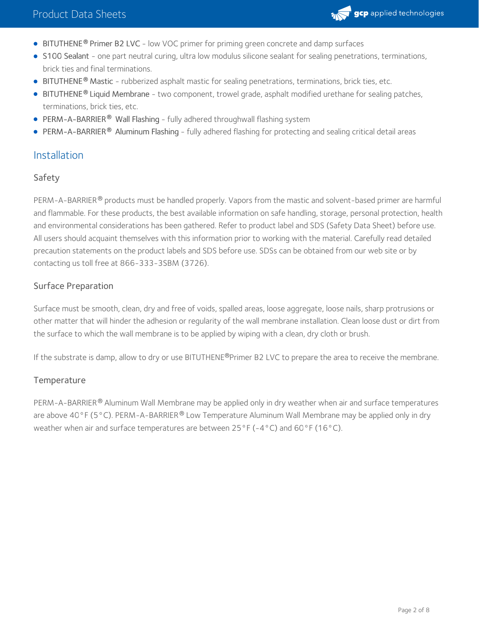

- BITUTHENE<sup>®</sup> Primer B2 LVC low VOC primer for priming green concrete and damp surfaces
- S100 Sealant one part neutral curing, ultra low modulus silicone sealant for sealing penetrations, terminations, brick ties and final terminations.
- BITUTHENE<sup>®</sup> Mastic rubberized asphalt mastic for sealing penetrations, terminations, brick ties, etc.
- BITUTHENE® Liquid Membrane two component, trowel grade, asphalt modified urethane for sealing patches, terminations, brick ties, etc.
- PERM-A-BARRIER **®** Wall Flashing fully adhered throughwall flashing system
- **PERM-A-BARRIER® Aluminum Flashing fully adhered flashing for protecting and sealing critical detail areas**

#### Installation

#### Safety

PERM-A-BARRIER® products must be handled properly. Vapors from the mastic and solvent-based primer are harmful and flammable. For these products, the best available information on safe handling, storage, personal protection, health and environmental considerations has been gathered. Refer to product label and SDS (Safety Data Sheet) before use. All users should acquaint themselves with this information prior to working with the material. Carefully read detailed precaution statements on the product labels and SDS before use. SDSs can be obtained from our web site or by contacting us toll free at 866-333-3SBM (3726).

#### Surface Preparation

Surface must be smooth, clean, dry and free of voids, spalled areas, loose aggregate, loose nails, sharp protrusions or other matter that will hinder the adhesion or regularity of the wall membrane installation. Clean loose dust or dirt from the surface to which the wall membrane is to be applied by wiping with a clean, dry cloth or brush.

If the substrate is damp, allow to dry or use BITUTHENE®Primer B2 LVC to prepare the area to receive the membrane.

#### Temperature

PERM-A-BARRIER® Aluminum Wall Membrane may be applied only in dry weather when air and surface temperatures are above 40°F (5°C). PERM-A-BARRIER® Low Temperature Aluminum Wall Membrane may be applied only in dry weather when air and surface temperatures are between 25°F (-4°C) and 60°F (16°C).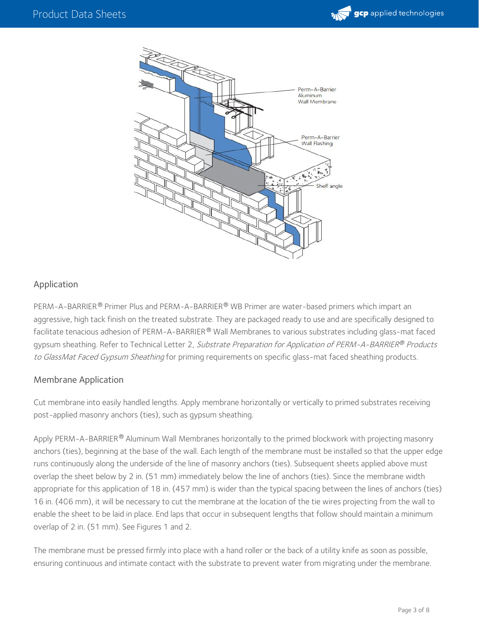



#### Application

PERM-A-BARRIER® Primer Plus and PERM-A-BARRIER® WB Primer are water-based primers which impart an aggressive, high tack finish on the treated substrate. They are packaged ready to use and are specifically designed to facilitate tenacious adhesion of PERM-A-BARRIER® Wall Membranes to various substrates including glass-mat faced gypsum sheathing. Refer to Technical Letter 2, *Substrate Preparation for Application of PERM-A-BARRIER® Products* to GlassMat Faced Gypsum Sheathing for priming requirements on specific glass-mat faced sheathing products.

#### Membrane Application

Cut membrane into easily handled lengths. Apply membrane horizontally or vertically to primed substrates receiving post-applied masonry anchors (ties), such as gypsum sheathing.

Apply PERM-A-BARRIER $^\circledR$  Aluminum Wall Membranes horizontally to the primed blockwork with projecting masonry anchors (ties), beginning at the base of the wall. Each length of the membrane must be installed so that the upper edge runs continuously along the underside of the line of masonry anchors (ties). Subsequent sheets applied above must overlap the sheet below by 2 in. (51 mm) immediately below the line of anchors (ties). Since the membrane width appropriate for this application of 18 in. (457 mm) is wider than the typical spacing between the lines of anchors (ties) 16 in. (406 mm), it will be necessary to cut the membrane at the location of the tie wires projecting from the wall to enable the sheet to be laid in place. End laps that occur in subsequent lengths that follow should maintain a minimum overlap of 2 in. (51 mm). See Figures 1 and 2.

The membrane must be pressed firmly into place with a hand roller or the back of a utility knife as soon as possible, ensuring continuous and intimate contact with the substrate to prevent water from migrating under the membrane.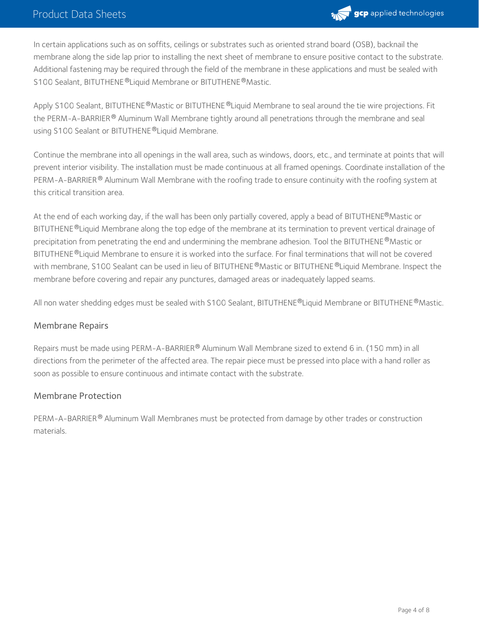

In certain applications such as on soffits, ceilings or substrates such as oriented strand board (OSB), backnail the membrane along the side lap prior to installing the next sheet of membrane to ensure positive contact to the substrate. Additional fastening may be required through the field of the membrane in these applications and must be sealed with S100 Sealant, BITUTHENE®Liquid Membrane or BITUTHENE®Mastic.

Apply S100 Sealant, BITUTHENE®Mastic or BITUTHENE®Liquid Membrane to seal around the tie wire projections. Fit the PERM-A-BARRIER  $^\circledR$  Aluminum Wall Membrane tightly around all penetrations through the membrane and seal using S100 Sealant or BITUTHENE ® Liquid Membrane.

Continue the membrane into all openings in the wall area, such as windows, doors, etc., and terminate at points that will prevent interior visibility. The installation must be made continuous at all framed openings. Coordinate installation of the PERM-A-BARRIER $^\circledR$  Aluminum Wall Membrane with the roofing trade to ensure continuity with the roofing system at this critical transition area.

At the end of each working day, if the wall has been only partially covered, apply a bead of BITUTHENE®Mastic or BITUTHENE®Liquid Membrane along the top edge of the membrane at its termination to prevent vertical drainage of precipitation from penetrating the end and undermining the membrane adhesion. Tool the BITUTHENE®Mastic or BITUTHENE ®Liquid Membrane to ensure it is worked into the surface. For final terminations that will not be covered with membrane, S100 Sealant can be used in lieu of BITUTHENE®Mastic or BITUTHENE®Liquid Membrane. Inspect the membrane before covering and repair any punctures, damaged areas or inadequately lapped seams.

All non water shedding edges must be sealed with S100 Sealant, BITUTHENE®Liquid Membrane or BITUTHENE®Mastic.

#### Membrane Repairs

Repairs must be made using PERM-A-BARRIER® Aluminum Wall Membrane sized to extend 6 in. (150 mm) in all directions from the perimeter of the affected area. The repair piece must be pressed into place with a hand roller as soon as possible to ensure continuous and intimate contact with the substrate.

#### Membrane Protection

PERM-A-BARRIER® Aluminum Wall Membranes must be protected from damage by other trades or construction materials.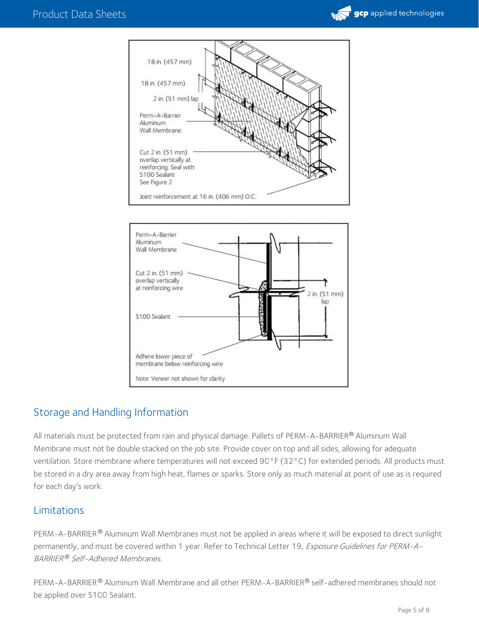





# Storage and Handling Information

All materials must be protected from rain and physical damage. Pallets of PERM-A-BARRIER® Aluminum Wall Membrane must not be double stacked on the job site. Provide cover on top and all sides, allowing for adequate ventilation. Store membrane where temperatures will not exceed 90°F (32°C) for extended periods. All products must be stored in a dry area away from high heat, flames or sparks. Store only as much material at point of use as is required for each day's work.

## Limitations

PERM-A-BARRIER® Aluminum Wall Membranes must not be applied in areas where it will be exposed to direct sunlight permanently, and must be covered within 1 year. Refer to Technical Letter 19, Exposure Guidelines for PERM-A-BARRIER® Self-Adhered Membranes.

PERM-A-BARRIER® Aluminum Wall Membrane and all other PERM-A-BARRIER® self-adhered membranes should not be applied over S100 Sealant.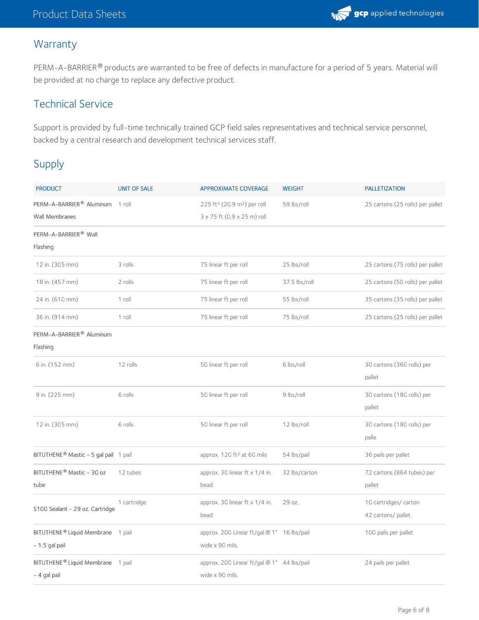

### **Warranty**

PERM-A-BARRIER® products are warranted to be free of defects in manufacture for a period of 5 years. Material will be provided at no charge to replace any defective product.

# Technical Service

Support is provided by full-time technically trained GCP field sales representatives and technical service personnel, backed by a central research and development technical services staff.

# Supply

| <b>PRODUCT</b>                                    | <b>UNIT OF SALE</b> | <b>APPROXIMATE COVERAGE</b>                         | <b>WEIGHT</b> | <b>PALLETIZATION</b>             |
|---------------------------------------------------|---------------------|-----------------------------------------------------|---------------|----------------------------------|
| PERM-A-BARRIER <sup>®</sup> Aluminum 1 roll       |                     | 225 ft <sup>2</sup> (20.9 m <sup>2</sup> ) per roll | 59 lbs/roll   | 25 cartons (25 rolls) per pallet |
| <b>Wall Membranes</b>                             |                     | 3 x 75 ft (0.9 x 25 m) roll                         |               |                                  |
| PERM-A-BARRIER <sup>®</sup> Wall                  |                     |                                                     |               |                                  |
| Flashing                                          |                     |                                                     |               |                                  |
| 12 in. (305 mm)                                   | 3 rolls             | 75 linear ft per roll                               | 25 lbs/roll   | 25 cartons (75 rolls) per pallet |
| 18 in. (457 mm)                                   | 2 rolls             | 75 linear ft per roll                               | 37.5 lbs/roll | 25 cartons (50 rolls) per pallet |
| 24 in. (610 mm)                                   | 1 roll              | 75 linear ft per roll                               | 55 lbs/roll   | 35 cartons (35 rolls) per pallet |
| 36 in. (914 mm)                                   | 1 roll              | 75 linear ft per roll                               | 75 lbs/roll   | 25 cartons (25 rolls) per pallet |
| PERM-A-BARRIER® Aluminum                          |                     |                                                     |               |                                  |
| Flashing                                          |                     |                                                     |               |                                  |
| 6 in. (152 mm)                                    | 12 rolls            | 50 linear ft per roll                               | 6 lbs/roll    | 30 cartons (360 rolls) per       |
|                                                   |                     |                                                     |               | pallet                           |
| 9 in. (225 mm)                                    | 6 rolls             | 50 linear ft per roll                               | 9 lbs/roll    | 30 cartons (180 rolls) per       |
|                                                   |                     |                                                     |               | pallet                           |
| 12 in. (305 mm)                                   | 6 rolls             | 50 linear ft per roll                               | 12 lbs/roll   | 30 cartons (180 rolls) per       |
|                                                   |                     |                                                     |               | palle                            |
| BITUTHENE <sup>®</sup> Mastic - 5 gal pail 1 pail |                     | approx. 120 ft <sup>2</sup> at 60 mils              | 54 lbs/pail   | 36 pails per pallet              |
| BITUTHENE® Mastic - 30 oz                         | 12 tubes            | approx. 30 linear ft x 1/4 in.                      | 32 lbs/carton | 72 cartons (864 tubes) per       |
| tube                                              |                     | bead                                                |               | pallet                           |
| S100 Sealant - 29 oz. Cartridge                   | 1 cartridge         | approx. 30 linear ft x 1/4 in.                      | 29 oz.        | 10 cartridges/ carton            |
|                                                   |                     | bead                                                |               | 42 cartons/ pallet               |
| BITUTHENE <sup>®</sup> Liquid Membrane 1 pail     |                     | approx. 200 Linear ft/gal @ 1" 16 lbs/pail          |               | 100 pails per pallet             |
| $-1.5$ gal pail                                   |                     | wide x 90 mils.                                     |               |                                  |
| BITUTHENE <sup>®</sup> Liquid Membrane 1 pail     |                     | approx. 200 Linear ft/gal @ 1" 44 lbs/pail          |               | 24 pails per pallet              |
| - 4 gal pail                                      |                     | wide x 90 mils.                                     |               |                                  |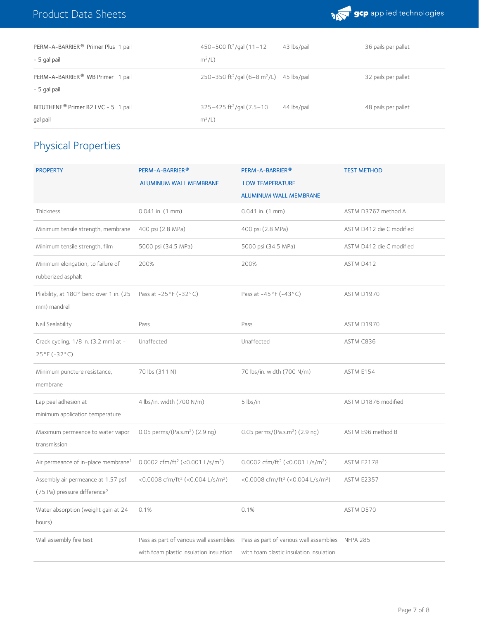

| PERM-A-BARRIER® Primer Plus 1 pail              | $450 - 500$ ft <sup>2</sup> /gal $(11 - 12)$                     | 43 lbs/pail | 36 pails per pallet |
|-------------------------------------------------|------------------------------------------------------------------|-------------|---------------------|
| - 5 gal pail                                    | $m^2/L$ )                                                        |             |                     |
| PERM-A-BARRIER <sup>®</sup> WB Primer 1 pail    | 250-350 ft <sup>2</sup> /gal (6-8 m <sup>2</sup> /L) 45 lbs/pail |             | 32 pails per pallet |
| - 5 gal pail                                    |                                                                  |             |                     |
| BITUTHENE <sup>®</sup> Primer B2 LVC - 5 1 pail | $325 - 425$ ft <sup>2</sup> /gal (7.5-10                         | 44 lbs/pail | 48 pails per pallet |
| gal pail                                        | $m^2/L$ )                                                        |             |                     |

# Physical Properties

| <b>PROPERTY</b>                                                                | PERM-A-BARRIER®<br><b>ALUMINUM WALL MEMBRANE</b>                                   | PERM-A-BARRIER®<br><b>LOW TEMPERATURE</b><br><b>ALUMINUM WALL MEMBRANE</b>         | <b>TEST METHOD</b>       |
|--------------------------------------------------------------------------------|------------------------------------------------------------------------------------|------------------------------------------------------------------------------------|--------------------------|
| Thickness                                                                      | $0.041$ in. $(1$ mm)                                                               | $0.041$ in. $(1$ mm)                                                               | ASTM D3767 method A      |
| Minimum tensile strength, membrane                                             | 400 psi (2.8 MPa)                                                                  | 400 psi (2.8 MPa)                                                                  | ASTM D412 die C modified |
| Minimum tensile strength, film                                                 | 5000 psi (34.5 MPa)                                                                | 5000 psi (34.5 MPa)                                                                | ASTM D412 die C modified |
| Minimum elongation, to failure of<br>rubberized asphalt                        | 200%                                                                               | 200%                                                                               | ASTM D412                |
| Pliability, at 180° bend over 1 in. (25<br>mm) mandrel                         | Pass at $-25^{\circ}$ F ( $-32^{\circ}$ C)                                         | Pass at -45°F (-43°C)                                                              | ASTM D1970               |
| Nail Sealability                                                               | Pass                                                                               | Pass                                                                               | ASTM D1970               |
| Crack cycling, 1/8 in. (3.2 mm) at -<br>$25°F(-32°C)$                          | Unaffected                                                                         | Unaffected                                                                         | ASTM C836                |
| Minimum puncture resistance,<br>membrane                                       | 70 lbs (311 N)                                                                     | 70 lbs/in. width (700 N/m)                                                         | ASTM E154                |
| Lap peel adhesion at<br>minimum application temperature                        | 4 lbs/in. width (700 N/m)                                                          | 5 lbs/in                                                                           | ASTM D1876 modified      |
| Maximum permeance to water vapor<br>transmission                               | 0.05 perms/(Pa.s.m <sup>2</sup> ) (2.9 ng)                                         | 0.05 perms/(Pa.s.m <sup>2</sup> ) (2.9 ng)                                         | ASTM E96 method B        |
| Air permeance of in-place membrane <sup>1</sup>                                | 0.0002 cfm/ft <sup>2</sup> (<0.001 L/s/m <sup>2</sup> )                            | 0.0002 cfm/ft <sup>2</sup> (<0.001 L/s/m <sup>2</sup> )                            | <b>ASTM E2178</b>        |
| Assembly air permeance at 1.57 psf<br>(75 Pa) pressure difference <sup>2</sup> | <0.0008 cfm/ft <sup>2</sup> (<0.004 L/s/m <sup>2</sup> )                           | <0.0008 cfm/ft <sup>2</sup> (<0.004 L/s/m <sup>2</sup> )                           | <b>ASTM E2357</b>        |
| Water absorption (weight gain at 24<br>hours)                                  | 0.1%                                                                               | 0.1%                                                                               | ASTM D570                |
| Wall assembly fire test                                                        | Pass as part of various wall assemblies<br>with foam plastic insulation insulation | Pass as part of various wall assemblies<br>with foam plastic insulation insulation | <b>NFPA 285</b>          |